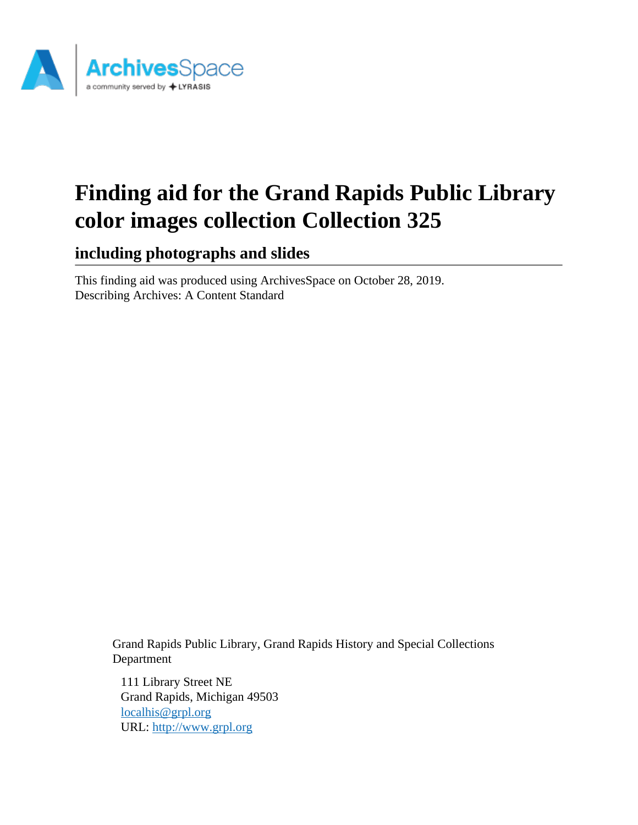

# **Finding aid for the Grand Rapids Public Library color images collection Collection 325**

**including photographs and slides**

This finding aid was produced using ArchivesSpace on October 28, 2019. Describing Archives: A Content Standard

> Grand Rapids Public Library, Grand Rapids History and Special Collections Department

111 Library Street NE Grand Rapids, Michigan 49503 [localhis@grpl.org](mailto:localhis@grpl.org) URL:<http://www.grpl.org>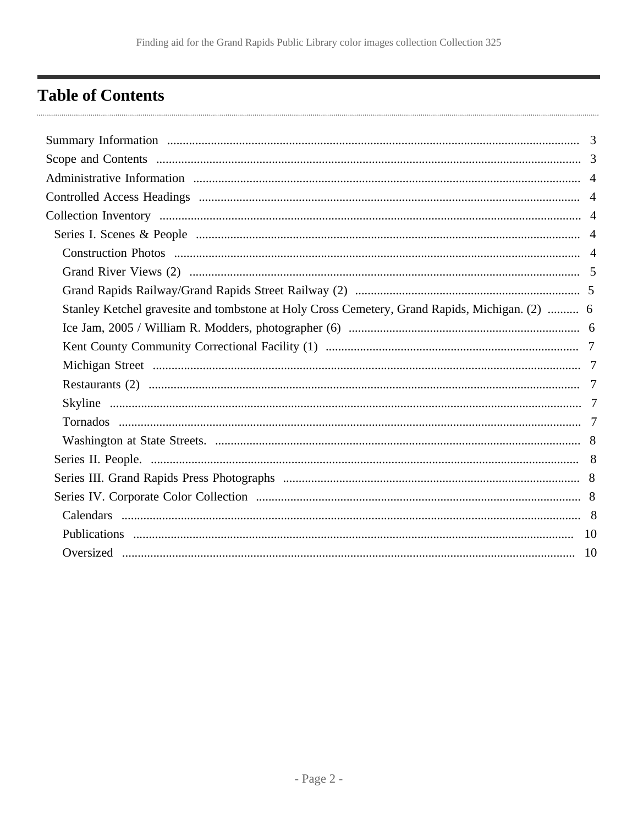# <span id="page-1-0"></span>**Table of Contents**

| Stanley Ketchel gravesite and tombstone at Holy Cross Cemetery, Grand Rapids, Michigan. (2)  6 |  |
|------------------------------------------------------------------------------------------------|--|
|                                                                                                |  |
|                                                                                                |  |
|                                                                                                |  |
|                                                                                                |  |
|                                                                                                |  |
|                                                                                                |  |
|                                                                                                |  |
|                                                                                                |  |
|                                                                                                |  |
|                                                                                                |  |
|                                                                                                |  |
|                                                                                                |  |
|                                                                                                |  |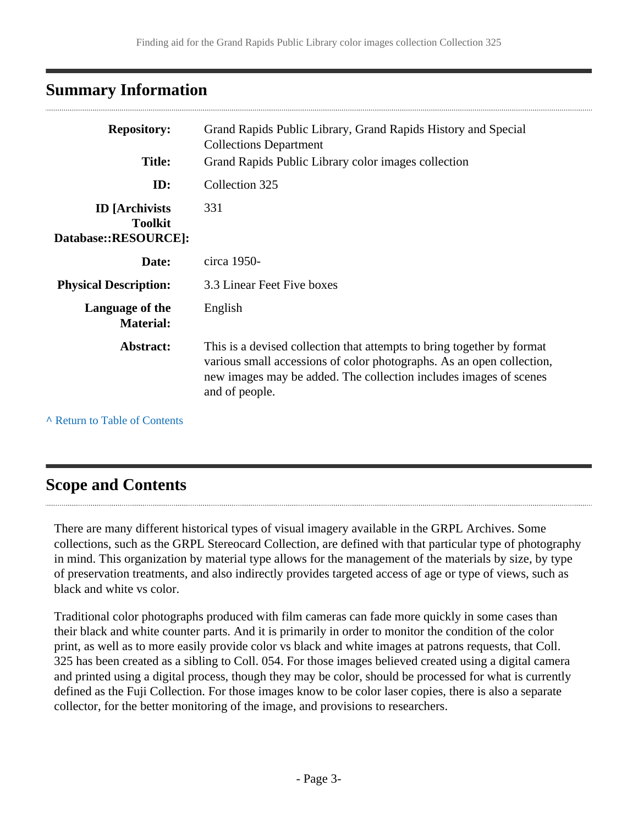# <span id="page-2-0"></span>**Summary Information**

| <b>Repository:</b><br><b>Title:</b>                              | Grand Rapids Public Library, Grand Rapids History and Special<br><b>Collections Department</b><br>Grand Rapids Public Library color images collection                                                                                  |
|------------------------------------------------------------------|----------------------------------------------------------------------------------------------------------------------------------------------------------------------------------------------------------------------------------------|
| ID:                                                              | Collection 325                                                                                                                                                                                                                         |
| <b>ID</b> [Archivists]<br><b>Toolkit</b><br>Database::RESOURCE]: | 331                                                                                                                                                                                                                                    |
| Date:                                                            | circa 1950-                                                                                                                                                                                                                            |
| <b>Physical Description:</b>                                     | 3.3 Linear Feet Five boxes                                                                                                                                                                                                             |
| Language of the<br><b>Material:</b>                              | English                                                                                                                                                                                                                                |
| Abstract:                                                        | This is a devised collection that attempts to bring together by format<br>various small accessions of color photographs. As an open collection,<br>new images may be added. The collection includes images of scenes<br>and of people. |

**^** [Return to Table of Contents](#page-1-0)

# <span id="page-2-1"></span>**Scope and Contents**

There are many different historical types of visual imagery available in the GRPL Archives. Some collections, such as the GRPL Stereocard Collection, are defined with that particular type of photography in mind. This organization by material type allows for the management of the materials by size, by type of preservation treatments, and also indirectly provides targeted access of age or type of views, such as black and white vs color.

Traditional color photographs produced with film cameras can fade more quickly in some cases than their black and white counter parts. And it is primarily in order to monitor the condition of the color print, as well as to more easily provide color vs black and white images at patrons requests, that Coll. 325 has been created as a sibling to Coll. 054. For those images believed created using a digital camera and printed using a digital process, though they may be color, should be processed for what is currently defined as the Fuji Collection. For those images know to be color laser copies, there is also a separate collector, for the better monitoring of the image, and provisions to researchers.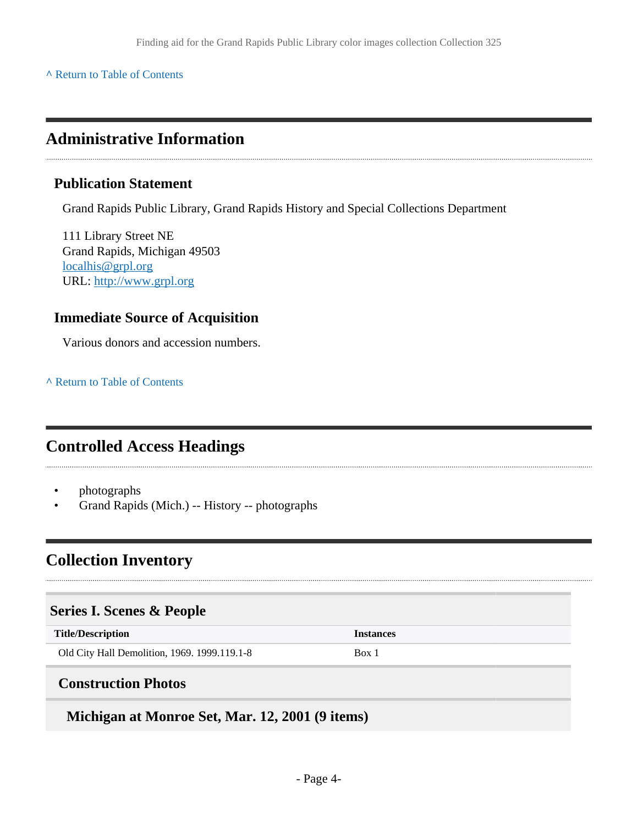#### **^** [Return to Table of Contents](#page-1-0)

## <span id="page-3-0"></span>**Administrative Information**

#### **Publication Statement**

Grand Rapids Public Library, Grand Rapids History and Special Collections Department

111 Library Street NE Grand Rapids, Michigan 49503 [localhis@grpl.org](mailto:localhis@grpl.org) URL:<http://www.grpl.org>

### **Immediate Source of Acquisition**

Various donors and accession numbers.

**^** [Return to Table of Contents](#page-1-0)

# <span id="page-3-1"></span>**Controlled Access Headings**

- photographs
- Grand Rapids (Mich.) -- History -- photographs

# <span id="page-3-2"></span>**Collection Inventory**

#### <span id="page-3-3"></span>**Series I. Scenes & People**

**Title/Description Instances**

Old City Hall Demolition, 1969. 1999.119.1-8 Box 1

### <span id="page-3-4"></span>**Construction Photos**

**Michigan at Monroe Set, Mar. 12, 2001 (9 items)**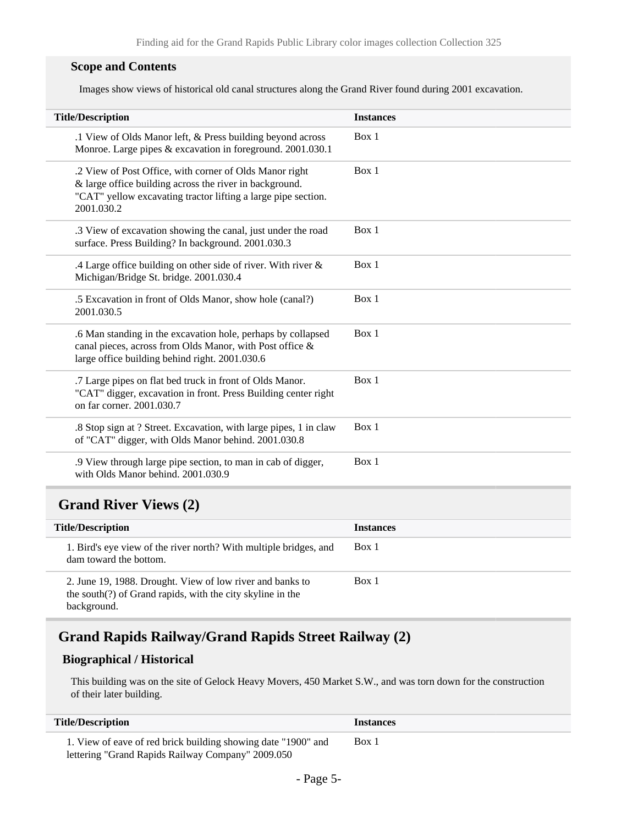#### **Scope and Contents**

Images show views of historical old canal structures along the Grand River found during 2001 excavation.

| <b>Title/Description</b>                                                                                                                                                                          | <b>Instances</b> |
|---------------------------------------------------------------------------------------------------------------------------------------------------------------------------------------------------|------------------|
| .1 View of Olds Manor left, & Press building beyond across<br>Monroe. Large pipes & excavation in foreground. 2001.030.1                                                                          | Box 1            |
| .2 View of Post Office, with corner of Olds Manor right<br>& large office building across the river in background.<br>"CAT" yellow excavating tractor lifting a large pipe section.<br>2001.030.2 | Box 1            |
| .3 View of excavation showing the canal, just under the road<br>surface. Press Building? In background. 2001.030.3                                                                                | Box 1            |
| .4 Large office building on other side of river. With river $\&$<br>Michigan/Bridge St. bridge. 2001.030.4                                                                                        | Box 1            |
| .5 Excavation in front of Olds Manor, show hole (canal?)<br>2001.030.5                                                                                                                            | Box 1            |
| .6 Man standing in the excavation hole, perhaps by collapsed<br>canal pieces, across from Olds Manor, with Post office &<br>large office building behind right. 2001.030.6                        | Box 1            |
| .7 Large pipes on flat bed truck in front of Olds Manor.<br>"CAT" digger, excavation in front. Press Building center right<br>on far corner. 2001.030.7                                           | Box 1            |
| .8 Stop sign at ? Street. Excavation, with large pipes, 1 in claw<br>of "CAT" digger, with Olds Manor behind. 2001.030.8                                                                          | Box 1            |
| .9 View through large pipe section, to man in cab of digger,<br>with Olds Manor behind. 2001.030.9                                                                                                | Box 1            |
|                                                                                                                                                                                                   |                  |

### <span id="page-4-0"></span>**Grand River Views (2)**

| <b>Title/Description</b>                                                                                                               | <b>Instances</b> |
|----------------------------------------------------------------------------------------------------------------------------------------|------------------|
| 1. Bird's eye view of the river north? With multiple bridges, and<br>dam toward the bottom.                                            | Box 1            |
| 2. June 19, 1988. Drought. View of low river and banks to<br>the south(?) of Grand rapids, with the city skyline in the<br>background. | Box 1            |

### <span id="page-4-1"></span>**Grand Rapids Railway/Grand Rapids Street Railway (2)**

#### **Biographical / Historical**

This building was on the site of Gelock Heavy Movers, 450 Market S.W., and was torn down for the construction of their later building.

| <b>Title/Description</b>                                      | <b>Instances</b> |
|---------------------------------------------------------------|------------------|
| 1. View of eave of red brick building showing date "1900" and | Box 1            |
| lettering "Grand Rapids Railway Company" 2009.050             |                  |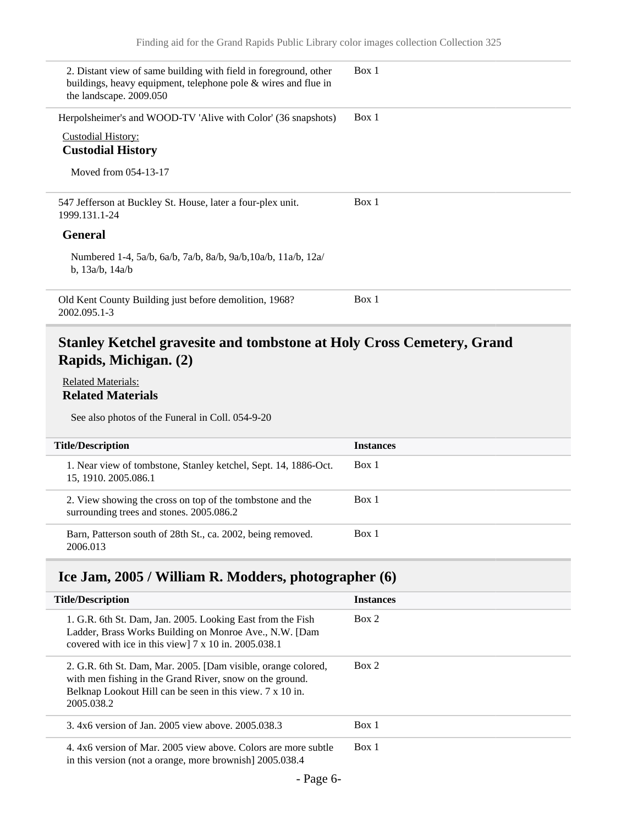| 2. Distant view of same building with field in foreground, other<br>buildings, heavy equipment, telephone pole & wires and flue in<br>the landscape. 2009.050 | Box 1 |
|---------------------------------------------------------------------------------------------------------------------------------------------------------------|-------|
| Herpolsheimer's and WOOD-TV 'Alive with Color' (36 snapshots)<br><b>Custodial History:</b><br><b>Custodial History</b><br>Moved from 054-13-17                | Box 1 |
| 547 Jefferson at Buckley St. House, later a four-plex unit.<br>1999.131.1-24                                                                                  | Box 1 |
| <b>General</b>                                                                                                                                                |       |
| Numbered 1-4, 5a/b, 6a/b, 7a/b, 8a/b, 9a/b, 10a/b, 11a/b, 12a/<br>b, $13a/b$ , $14a/b$                                                                        |       |
| Old Kent County Building just before demolition, 1968?<br>2002.095.1-3                                                                                        | Box 1 |

### <span id="page-5-0"></span>**Stanley Ketchel gravesite and tombstone at Holy Cross Cemetery, Grand Rapids, Michigan. (2)**

#### Related Materials: **Related Materials**

See also photos of the Funeral in Coll. 054-9-20

| <b>Title/Description</b>                                                                              | <b>Instances</b> |
|-------------------------------------------------------------------------------------------------------|------------------|
| 1. Near view of tombstone, Stanley ketchel, Sept. 14, 1886-Oct.<br>15, 1910. 2005.086.1               | Box 1            |
| 2. View showing the cross on top of the tombstone and the<br>surrounding trees and stones. 2005.086.2 | Box 1            |
| Barn, Patterson south of 28th St., ca. 2002, being removed.<br>2006.013                               | Box 1            |

### <span id="page-5-1"></span>**Ice Jam, 2005 / William R. Modders, photographer (6)**

| <b>Title/Description</b>                                                                                                                                                                             | <b>Instances</b> |
|------------------------------------------------------------------------------------------------------------------------------------------------------------------------------------------------------|------------------|
| 1. G.R. 6th St. Dam, Jan. 2005. Looking East from the Fish<br>Ladder, Brass Works Building on Monroe Ave., N.W. [Dam<br>covered with ice in this view $7 \times 10$ in. 2005.038.1                   | Box 2            |
| 2. G.R. 6th St. Dam, Mar. 2005. [Dam visible, orange colored,<br>with men fishing in the Grand River, snow on the ground.<br>Belknap Lookout Hill can be seen in this view. 7 x 10 in.<br>2005.038.2 | Box 2            |
| 3.4x6 version of Jan. 2005 view above. 2005.038.3                                                                                                                                                    | Box 1            |
| 4.4x6 version of Mar, 2005 view above. Colors are more subtle<br>in this version (not a orange, more brownish) 2005.038.4                                                                            | Box 1            |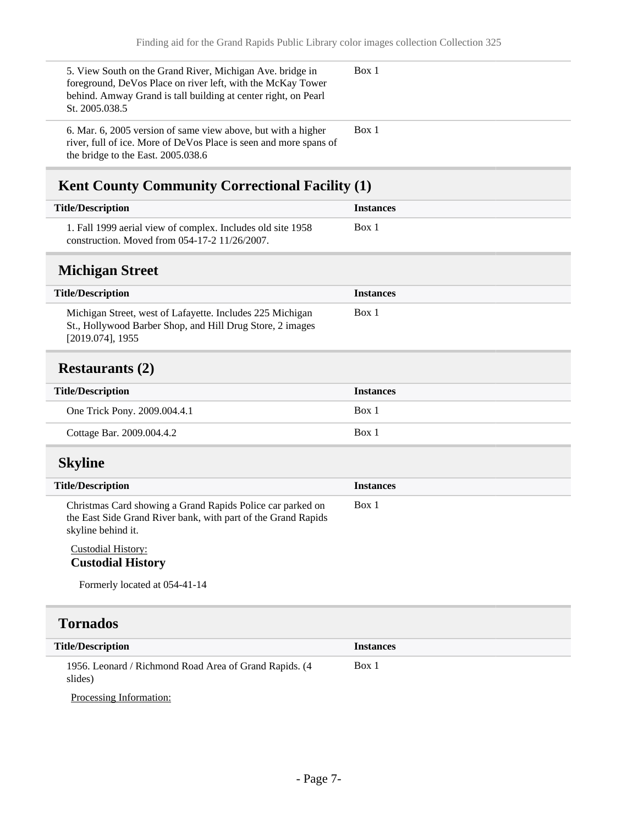<span id="page-6-2"></span><span id="page-6-1"></span><span id="page-6-0"></span>

| 5. View South on the Grand River, Michigan Ave. bridge in<br>foreground, DeVos Place on river left, with the McKay Tower<br>behind. Amway Grand is tall building at center right, on Pearl<br>St. 2005.038.5 | Box 1            |
|--------------------------------------------------------------------------------------------------------------------------------------------------------------------------------------------------------------|------------------|
| 6. Mar. 6, 2005 version of same view above, but with a higher<br>river, full of ice. More of DeVos Place is seen and more spans of<br>the bridge to the East. 2005.038.6                                     | Box 1            |
| Kent County Community Correctional Facility (1)                                                                                                                                                              |                  |
| <b>Title/Description</b>                                                                                                                                                                                     | <b>Instances</b> |
| 1. Fall 1999 aerial view of complex. Includes old site 1958<br>construction. Moved from 054-17-2 11/26/2007.                                                                                                 | Box 1            |
| <b>Michigan Street</b>                                                                                                                                                                                       |                  |
| <b>Title/Description</b>                                                                                                                                                                                     | <b>Instances</b> |
| Michigan Street, west of Lafayette. Includes 225 Michigan<br>St., Hollywood Barber Shop, and Hill Drug Store, 2 images<br>$[2019.074]$ , 1955                                                                | Box 1            |
| <b>Restaurants (2)</b>                                                                                                                                                                                       |                  |
| <b>Title/Description</b>                                                                                                                                                                                     | <b>Instances</b> |
|                                                                                                                                                                                                              |                  |
| One Trick Pony. 2009.004.4.1                                                                                                                                                                                 | Box 1            |
| Cottage Bar. 2009.004.4.2                                                                                                                                                                                    | Box 1            |
| <b>Skyline</b>                                                                                                                                                                                               |                  |
| <b>Title/Description</b>                                                                                                                                                                                     | <b>Instances</b> |
| Christmas Card showing a Grand Rapids Police car parked on<br>the East Side Grand River bank, with part of the Grand Rapids<br>skyline behind it.                                                            | Box 1            |
| <b>Custodial History:</b><br><b>Custodial History</b>                                                                                                                                                        |                  |
| Formerly located at 054-41-14                                                                                                                                                                                |                  |
| <b>Tornados</b>                                                                                                                                                                                              |                  |
| <b>Title/Description</b>                                                                                                                                                                                     | <b>Instances</b> |

<span id="page-6-4"></span><span id="page-6-3"></span>Processing Information: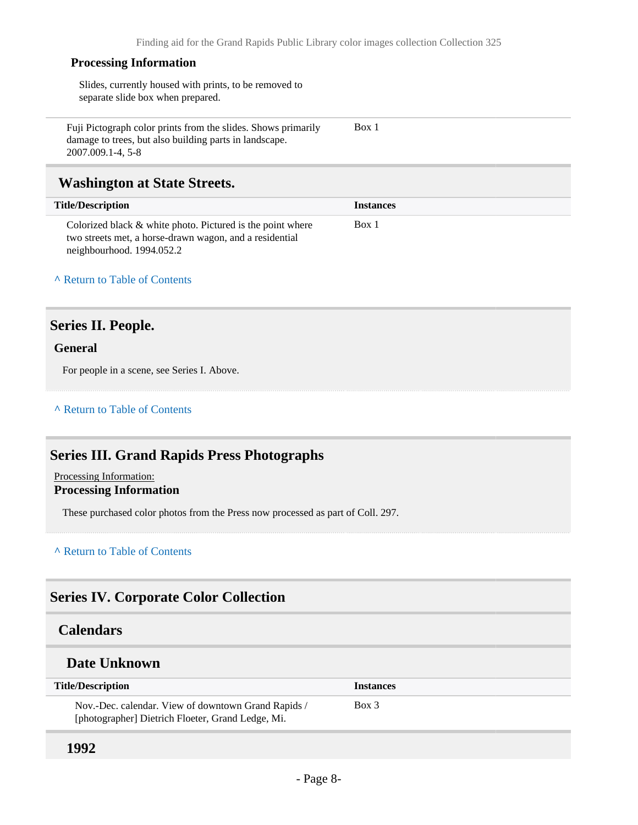Box 1

#### **Processing Information**

Slides, currently housed with prints, to be removed to separate slide box when prepared.

Fuji Pictograph color prints from the slides. Shows primarily damage to trees, but also building parts in landscape. 2007.009.1-4, 5-8

### <span id="page-7-0"></span>**Washington at State Streets.**

| <b>Title/Description</b>                                                                                              | <b>Instances</b> |  |
|-----------------------------------------------------------------------------------------------------------------------|------------------|--|
| Colorized black & white photo. Pictured is the point where<br>two streets met, a horse-drawn wagon, and a residential | Box 1            |  |
| neighbourhood. 1994.052.2                                                                                             |                  |  |

#### **^** [Return to Table of Contents](#page-1-0)

### <span id="page-7-1"></span>**Series II. People.**

#### **General**

For people in a scene, see Series I. Above.

#### **^** [Return to Table of Contents](#page-1-0)

### <span id="page-7-2"></span>**Series III. Grand Rapids Press Photographs**

#### Processing Information: **Processing Information**

These purchased color photos from the Press now processed as part of Coll. 297.

#### **^** [Return to Table of Contents](#page-1-0)

### <span id="page-7-3"></span>**Series IV. Corporate Color Collection**

#### <span id="page-7-4"></span>**Calendars**

#### **Date Unknown**

| <b>Title/Description</b>                                                                                 | <b>Instances</b> |
|----------------------------------------------------------------------------------------------------------|------------------|
| Nov.-Dec. calendar. View of downtown Grand Rapids /<br>[photographer] Dietrich Floeter, Grand Ledge, Mi. | Box 3            |

#### **1992**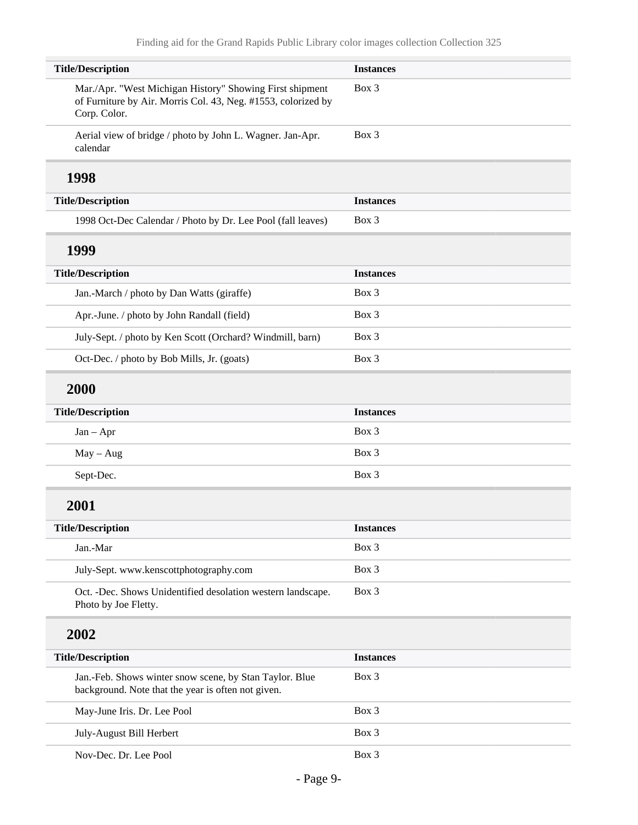| <b>Title/Description</b>                                                                                                                  | <b>Instances</b> |
|-------------------------------------------------------------------------------------------------------------------------------------------|------------------|
| Mar./Apr. "West Michigan History" Showing First shipment<br>of Furniture by Air. Morris Col. 43, Neg. #1553, colorized by<br>Corp. Color. | Box 3            |
| Aerial view of bridge / photo by John L. Wagner. Jan-Apr.<br>calendar                                                                     | Box 3            |
| 1998                                                                                                                                      |                  |
| <b>Title/Description</b>                                                                                                                  | <b>Instances</b> |
| 1998 Oct-Dec Calendar / Photo by Dr. Lee Pool (fall leaves)                                                                               | Box 3            |
| 1999                                                                                                                                      |                  |
| <b>Title/Description</b>                                                                                                                  | <b>Instances</b> |
| Jan.-March / photo by Dan Watts (giraffe)                                                                                                 | Box 3            |
| Apr.-June. / photo by John Randall (field)                                                                                                | Box 3            |
| July-Sept. / photo by Ken Scott (Orchard? Windmill, barn)                                                                                 | Box 3            |
| Oct-Dec. / photo by Bob Mills, Jr. (goats)                                                                                                | Box 3            |
| 2000                                                                                                                                      |                  |
| <b>Title/Description</b>                                                                                                                  | <b>Instances</b> |
| $Jan - Apr$                                                                                                                               | Box 3            |
| $May - Aug$                                                                                                                               | Box 3            |
| Sept-Dec.                                                                                                                                 | Box 3            |
| 2001                                                                                                                                      |                  |
| <b>Title/Description</b>                                                                                                                  | <b>Instances</b> |
| Jan.-Mar                                                                                                                                  | Box 3            |
| July-Sept. www.kenscottphotography.com                                                                                                    | Box 3            |
| Oct. -Dec. Shows Unidentified desolation western landscape.<br>Photo by Joe Fletty.                                                       | Box 3            |
| 2002                                                                                                                                      |                  |
| <b>Title/Description</b>                                                                                                                  | <b>Instances</b> |
| Jan.-Feb. Shows winter snow scene, by Stan Taylor. Blue<br>background. Note that the year is often not given.                             | Box 3            |
| May-June Iris. Dr. Lee Pool                                                                                                               | Box 3            |
| July-August Bill Herbert                                                                                                                  | Box 3            |
| Nov-Dec. Dr. Lee Pool                                                                                                                     | Box 3            |